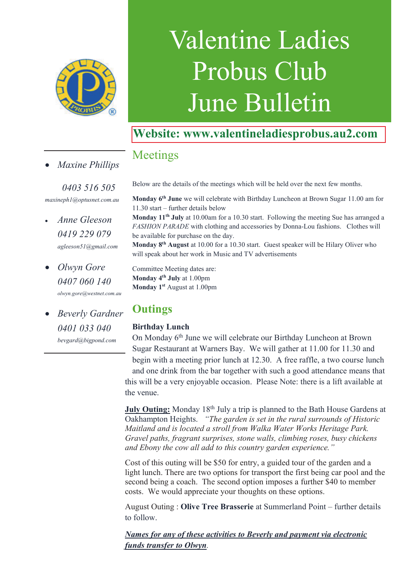

# Valentine Ladies Probus Club June Bulletin

## **Website: www.valentineladiesprobus.au2.com**

## Meetings

· *Maxine Phillips*

 *0403 516 505 maxineph1@optusnet.com.au*

- · *Anne Gleeson 0419 229 079 agleeson51@gmail.com*
- · *Olwyn Gore 0407 060 140 olwyn.gore@westnet.com.au*
- · *Beverly Gardner 0401 033 040 bevgard@bigpond.com*

**Monday 6th June** we will celebrate with Birthday Luncheon at Brown Sugar 11.00 am for 11.30 start – further details below

Below are the details of the meetings which will be held over the next few months.

**Monday 11th July** at 10.00am for a 10.30 start. Following the meeting Sue has arranged a *FASHION PARADE* with clothing and accessories by Donna-Lou fashions. Clothes will be available for purchase on the day.

**Monday 8th August** at 10.00 for a 10.30 start. Guest speaker will be Hilary Oliver who will speak about her work in Music and TV advertisements

Committee Meeting dates are: **Monday 4th July** at 1.00pm **Monday 1st** August at 1.00pm

## **Outings**

### **Birthday Lunch**

On Monday 6th June we will celebrate our Birthday Luncheon at Brown Sugar Restaurant at Warners Bay. We will gather at 11.00 for 11.30 and begin with a meeting prior lunch at 12.30. A free raffle, a two course lunch and one drink from the bar together with such a good attendance means that this will be a very enjoyable occasion. Please Note: there is a lift available at the venue.

**July Outing:** Monday 18<sup>th</sup> July a trip is planned to the Bath House Gardens at Oakhampton Heights. *"The garden is set in the rural surrounds of Historic Maitland and is located a stroll from Walka Water Works Heritage Park. Gravel paths, fragrant surprises, stone walls, climbing roses, busy chickens and Ebony the cow all add to this country garden experience."*

Cost of this outing will be \$50 for entry, a guided tour of the garden and a light lunch. There are two options for transport the first being car pool and the second being a coach. The second option imposes a further \$40 to member costs. We would appreciate your thoughts on these options.

August Outing : **Olive Tree Brasserie** at Summerland Point – further details to follow.

*Names for any of these activities to Beverly and payment via electronic funds transfer to Olwyn.*